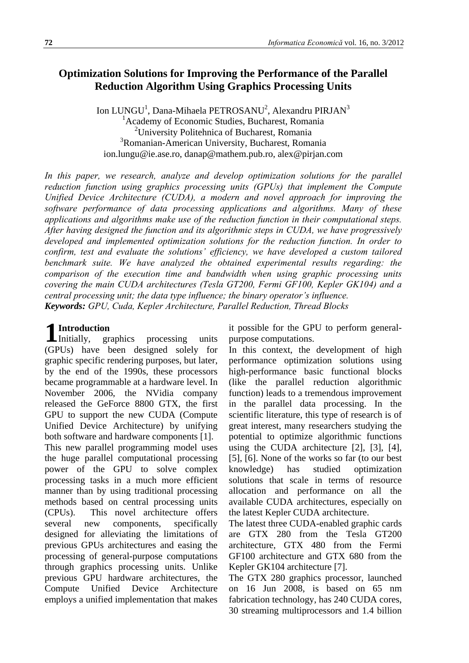## **Optimization Solutions for Improving the Performance of the Parallel Reduction Algorithm Using Graphics Processing Units**

Ion LUNGU<sup>1</sup>, Dana-Mihaela PETROSANU<sup>2</sup>, Alexandru PIRJAN<sup>3</sup> <sup>1</sup> Academy of Economic Studies, Bucharest, Romania <sup>2</sup>University Politehnica of Bucharest, Romania 3 Romanian-American University, Bucharest, Romania ion.lungu@ie.ase.ro, danap@mathem.pub.ro, alex@pirjan.com

*In this paper, we research, analyze and develop optimization solutions for the parallel reduction function using graphics processing units (GPUs) that implement the Compute Unified Device Architecture (CUDA), a modern and novel approach for improving the software performance of data processing applications and algorithms. Many of these applications and algorithms make use of the reduction function in their computational steps. After having designed the function and its algorithmic steps in CUDA, we have progressively developed and implemented optimization solutions for the reduction function. In order to confirm, test and evaluate the solutions' efficiency, we have developed a custom tailored benchmark suite. We have analyzed the obtained experimental results regarding: the comparison of the execution time and bandwidth when using graphic processing units covering the main CUDA architectures (Tesla GT200, Fermi GF100, Kepler GK104) and a central processing unit; the data type influence; the binary operator's influence. Keywords: GPU, Cuda, Kepler Architecture, Parallel Reduction, Thread Blocks* 

# **Introduction**

graphics processing units (GPUs) have been designed solely for graphic specific rendering purposes, but later, by the end of the 1990s, these processors became programmable at a hardware level. In November 2006, the NVidia company released the GeForce 8800 GTX, the first GPU to support the new CUDA (Compute Unified Device Architecture) by unifying both software and hardware components [1]. This new parallel programming model uses the huge parallel computational processing power of the GPU to solve complex processing tasks in a much more efficient manner than by using traditional processing methods based on central processing units (CPUs). This novel architecture offers several new components, specifically designed for alleviating the limitations of previous GPUs architectures and easing the processing of general-purpose computations through graphics processing units. Unlike previous GPU hardware architectures, the Compute Unified Device Architecture employs a unified implementation that makes 1 Introduction Indiana<br>1 Initially,

it possible for the GPU to perform generalpurpose computations.

In this context, the development of high performance optimization solutions using high-performance basic functional blocks (like the parallel reduction algorithmic function) leads to a tremendous improvement in the parallel data processing. In the scientific literature, this type of research is of great interest, many researchers studying the potential to optimize algorithmic functions using the CUDA architecture [2], [3], [4], [5], [6]. None of the works so far (to our best knowledge) has studied optimization solutions that scale in terms of resource allocation and performance on all the available CUDA architectures, especially on the latest Kepler CUDA architecture.

The latest three CUDA-enabled graphic cards are GTX 280 from the Tesla GT200 architecture, GTX 480 from the Fermi GF100 architecture and GTX 680 from the Kepler GK104 architecture [7].

The GTX 280 graphics processor, launched on 16 Jun 2008, is based on 65 nm fabrication technology, has 240 CUDA cores, 30 streaming multiprocessors and 1.4 billion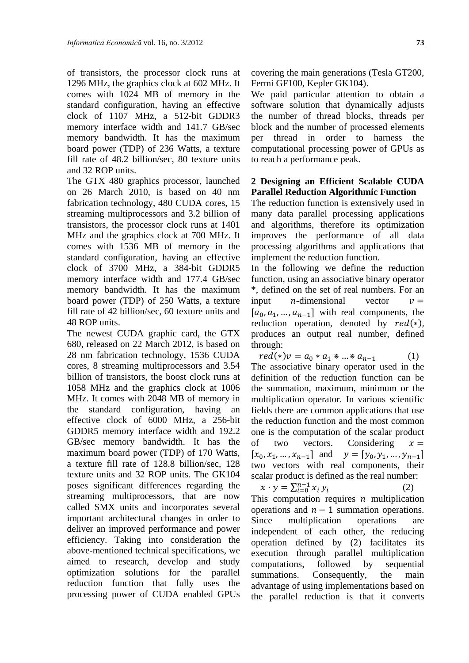of transistors, the processor clock runs at 1296 MHz, the graphics clock at 602 MHz. It comes with 1024 MB of memory in the standard configuration, having an effective clock of 1107 MHz, a 512-bit GDDR3 memory interface width and 141.7 GB/sec memory bandwidth. It has the maximum board power (TDP) of 236 Watts, a texture fill rate of 48.2 billion/sec, 80 texture units and 32 ROP units.

The GTX 480 graphics processor, launched on 26 March 2010, is based on 40 nm fabrication technology, 480 CUDA cores, 15 streaming multiprocessors and 3.2 billion of transistors, the processor clock runs at 1401 MHz and the graphics clock at 700 MHz. It comes with 1536 MB of memory in the standard configuration, having an effective clock of 3700 MHz, a 384-bit GDDR5 memory interface width and 177.4 GB/sec memory bandwidth. It has the maximum board power (TDP) of 250 Watts, a texture fill rate of 42 billion/sec, 60 texture units and 48 ROP units.

The newest CUDA graphic card, the GTX 680, released on 22 March 2012, is based on 28 nm fabrication technology, 1536 CUDA cores, 8 streaming multiprocessors and 3.54 billion of transistors, the boost clock runs at 1058 MHz and the graphics clock at 1006 MHz. It comes with 2048 MB of memory in the standard configuration, having an effective clock of 6000 MHz, a 256-bit GDDR5 memory interface width and 192.2 GB/sec memory bandwidth. It has the maximum board power (TDP) of 170 Watts, a texture fill rate of 128.8 billion/sec, 128 texture units and 32 ROP units. The GK104 poses significant differences regarding the streaming multiprocessors, that are now called SMX units and incorporates several important architectural changes in order to deliver an improved performance and power efficiency. Taking into consideration the above-mentioned technical specifications, we aimed to research, develop and study optimization solutions for the parallel reduction function that fully uses the processing power of CUDA enabled GPUs covering the main generations (Tesla GT200, Fermi GF100, Kepler GK104).

We paid particular attention to obtain a software solution that dynamically adjusts the number of thread blocks, threads per block and the number of processed elements per thread in order to harness the computational processing power of GPUs as to reach a performance peak.

### **2 Designing an Efficient Scalable CUDA Parallel Reduction Algorithmic Function**

The reduction function is extensively used in many data parallel processing applications and algorithms, therefore its optimization improves the performance of all data processing algorithms and applications that implement the reduction function.

In the following we define the reduction function, using an associative binary operator \*, defined on the set of real numbers. For an input *n*-dimensional vector  $v=$  $[a_0, a_1, \ldots, a_{n-1}]$  with real components, the reduction operation, denoted by  $red(*)$ , produces an output real number, defined through:

 $red(*)v = a_0 * a_1 * ... * a_{n-1}$  (1) The associative binary operator used in the definition of the reduction function can be the summation, maximum, minimum or the multiplication operator. In various scientific fields there are common applications that use the reduction function and the most common one is the computation of the scalar product of two vectors. Considering  $x=$  $[x_0, x_1, ..., x_{n-1}]$  and  $y = [y_0, y_1, ..., y_{n-1}]$ two vectors with real components, their scalar product is defined as the real number:

$$
x \cdot y = \sum_{i=0}^{n-1} x_i y_i \tag{2}
$$

This computation requires  $n$  multiplication operations and  $n-1$  summation operations. Since multiplication operations are independent of each other, the reducing operation defined by (2) facilitates its execution through parallel multiplication computations, followed by sequential summations. Consequently, the main advantage of using implementations based on the parallel reduction is that it converts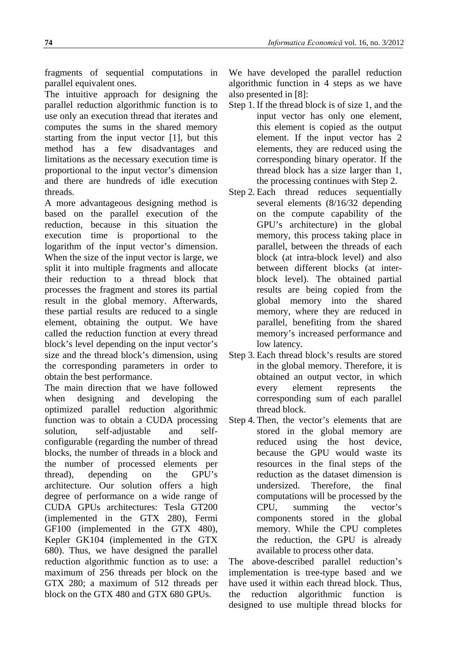fragments of sequential computations in parallel equivalent ones.

The intuitive approach for designing the parallel reduction algorithmic function is to use only an execution thread that iterates and computes the sums in the shared memory starting from the input vector [1], but this method has a few disadvantages and limitations as the necessary execution time is proportional to the input vector's dimension and there are hundreds of idle execution threads.

A more advantageous designing method is based on the parallel execution of the reduction, because in this situation the execution time is proportional to the logarithm of the input vector's dimension. When the size of the input vector is large, we split it into multiple fragments and allocate their reduction to a thread block that processes the fragment and stores its partial result in the global memory. Afterwards, these partial results are reduced to a single element, obtaining the output. We have called the reduction function at every thread block's level depending on the input vector's size and the thread block's dimension, using the corresponding parameters in order to obtain the best performance.

The main direction that we have followed when designing and developing the optimized parallel reduction algorithmic function was to obtain a CUDA processing solution, self-adjustable and selfconfigurable (regarding the number of thread blocks, the number of threads in a block and the number of processed elements per thread), depending on the GPU's architecture. Our solution offers a high degree of performance on a wide range of CUDA GPUs architectures: Tesla GT200 (implemented in the GTX 280), Fermi GF100 (implemented in the GTX 480), Kepler GK104 (implemented in the GTX 680). Thus, we have designed the parallel reduction algorithmic function as to use: a maximum of 256 threads per block on the GTX 280; a maximum of 512 threads per block on the GTX 480 and GTX 680 GPUs.

We have developed the parallel reduction algorithmic function in 4 steps as we have also presented in [8]:

- Step 1. If the thread block is of size 1, and the input vector has only one element, this element is copied as the output element. If the input vector has 2 elements, they are reduced using the corresponding binary operator. If the thread block has a size larger than 1, the processing continues with Step 2.
- Step 2. Each thread reduces sequentially several elements (8/16/32 depending on the compute capability of the GPU's architecture) in the global memory, this process taking place in parallel, between the threads of each block (at intra-block level) and also between different blocks (at interblock level). The obtained partial results are being copied from the global memory into the shared memory, where they are reduced in parallel, benefiting from the shared memory's increased performance and low latency.
- Step 3. Each thread block's results are stored in the global memory. Therefore, it is obtained an output vector, in which every element represents the corresponding sum of each parallel thread block.
- Step 4. Then, the vector's elements that are stored in the global memory are reduced using the host device, because the GPU would waste its resources in the final steps of the reduction as the dataset dimension is undersized. Therefore, the final computations will be processed by the CPU, summing the vector's components stored in the global memory. While the CPU completes the reduction, the GPU is already available to process other data.

The above-described parallel reduction's implementation is tree-type based and we have used it within each thread block. Thus, the reduction algorithmic function designed to use multiple thread blocks for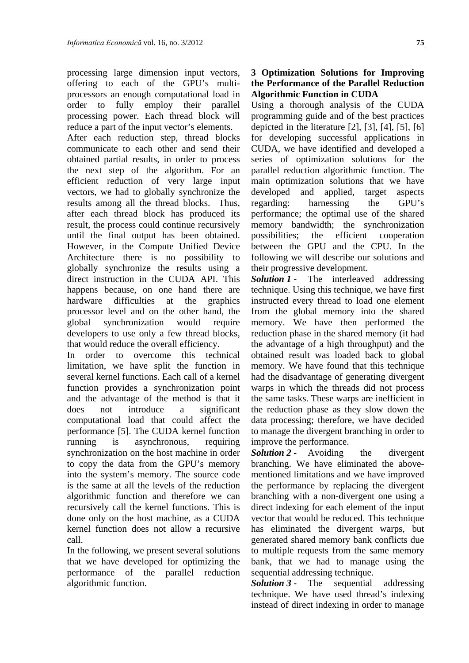processing large dimension input vectors, offering to each of the GPU's multiprocessors an enough computational load in order to fully employ their parallel processing power. Each thread block will reduce a part of the input vector's elements. After each reduction step, thread blocks communicate to each other and send their obtained partial results, in order to process the next step of the algorithm. For an efficient reduction of very large input vectors, we had to globally synchronize the results among all the thread blocks. Thus, after each thread block has produced its result, the process could continue recursively until the final output has been obtained. However, in the Compute Unified Device Architecture there is no possibility to globally synchronize the results using a direct instruction in the CUDA API. This happens because, on one hand there are hardware difficulties at the graphics processor level and on the other hand, the global synchronization would require developers to use only a few thread blocks, that would reduce the overall efficiency.

In order to overcome this technical limitation, we have split the function in several kernel functions. Each call of a kernel function provides a synchronization point and the advantage of the method is that it does not introduce a significant computational load that could affect the performance [5]. The CUDA kernel function running is asynchronous, requiring synchronization on the host machine in order to copy the data from the GPU's memory into the system's memory. The source code is the same at all the levels of the reduction algorithmic function and therefore we can recursively call the kernel functions. This is done only on the host machine, as a CUDA kernel function does not allow a recursive call.

In the following, we present several solutions that we have developed for optimizing the performance of the parallel reduction algorithmic function.

### **3 Optimization Solutions for Improving the Performance of the Parallel Reduction Algorithmic Function in CUDA**

Using a thorough analysis of the CUDA programming guide and of the best practices depicted in the literature  $[2]$ ,  $[3]$ ,  $[4]$ ,  $[5]$ ,  $[6]$ for developing successful applications in CUDA, we have identified and developed a series of optimization solutions for the parallel reduction algorithmic function. The main optimization solutions that we have developed and applied, target aspects regarding: harnessing the GPU's performance; the optimal use of the shared memory bandwidth; the synchronization possibilities; the efficient cooperation between the GPU and the CPU. In the following we will describe our solutions and their progressive development.

*Solution 1* - The interleaved addressing technique. Using this technique, we have first instructed every thread to load one element from the global memory into the shared memory. We have then performed the reduction phase in the shared memory (it had the advantage of a high throughput) and the obtained result was loaded back to global memory. We have found that this technique had the disadvantage of generating divergent warps in which the threads did not process the same tasks. These warps are inefficient in the reduction phase as they slow down the data processing; therefore, we have decided to manage the divergent branching in order to improve the performance.

*Solution 2 -* Avoiding the divergent branching. We have eliminated the abovementioned limitations and we have improved the performance by replacing the divergent branching with a non-divergent one using a direct indexing for each element of the input vector that would be reduced. This technique has eliminated the divergent warps, but generated shared memory bank conflicts due to multiple requests from the same memory bank, that we had to manage using the sequential addressing technique.

*Solution 3 -* The sequential addressing technique. We have used thread's indexing instead of direct indexing in order to manage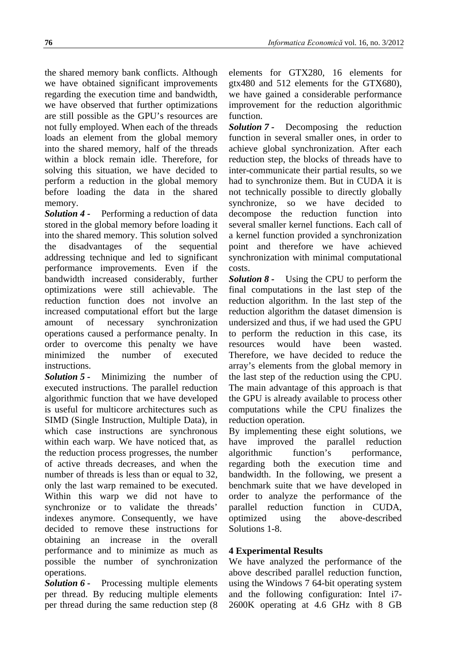the shared memory bank conflicts. Although we have obtained significant improvements regarding the execution time and bandwidth, we have observed that further optimizations are still possible as the GPU's resources are not fully employed. When each of the threads loads an element from the global memory into the shared memory, half of the threads within a block remain idle. Therefore, for solving this situation, we have decided to perform a reduction in the global memory before loading the data in the shared memory.

*Solution 4 -* Performing a reduction of data stored in the global memory before loading it into the shared memory. This solution solved the disadvantages of the sequential addressing technique and led to significant performance improvements. Even if the bandwidth increased considerably, further optimizations were still achievable. The reduction function does not involve an increased computational effort but the large amount of necessary synchronization operations caused a performance penalty. In order to overcome this penalty we have minimized the number of executed instructions.

*Solution 5 -* Minimizing the number of executed instructions. The parallel reduction algorithmic function that we have developed is useful for multicore architectures such as SIMD (Single Instruction, Multiple Data), in which case instructions are synchronous within each warp. We have noticed that, as the reduction process progresses, the number of active threads decreases, and when the number of threads is less than or equal to 32, only the last warp remained to be executed. Within this warp we did not have to synchronize or to validate the threads' indexes anymore. Consequently, we have decided to remove these instructions for obtaining an increase in the overall performance and to minimize as much as possible the number of synchronization operations.

*Solution 6 -* Processing multiple elements per thread. By reducing multiple elements per thread during the same reduction step (8 elements for GTX280, 16 elements for gtx480 and 512 elements for the GTX680), we have gained a considerable performance improvement for the reduction algorithmic function.

*Solution 7 -* Decomposing the reduction function in several smaller ones, in order to achieve global synchronization. After each reduction step, the blocks of threads have to inter-communicate their partial results, so we had to synchronize them. But in CUDA it is not technically possible to directly globally synchronize, so we have decided to decompose the reduction function into several smaller kernel functions. Each call of a kernel function provided a synchronization point and therefore we have achieved synchronization with minimal computational costs.

*Solution 8 -* Using the CPU to perform the final computations in the last step of the reduction algorithm. In the last step of the reduction algorithm the dataset dimension is undersized and thus, if we had used the GPU to perform the reduction in this case, its resources would have been wasted. Therefore, we have decided to reduce the array's elements from the global memory in the last step of the reduction using the CPU. The main advantage of this approach is that the GPU is already available to process other computations while the CPU finalizes the reduction operation.

By implementing these eight solutions, we have improved the parallel reduction algorithmic function's performance, regarding both the execution time and bandwidth. In the following, we present a benchmark suite that we have developed in order to analyze the performance of the parallel reduction function in CUDA, optimized using the above-described Solutions 1-8.

## **4 Experimental Results**

We have analyzed the performance of the above described parallel reduction function, using the Windows 7 64-bit operating system and the following configuration: Intel i7- 2600K operating at 4.6 GHz with 8 GB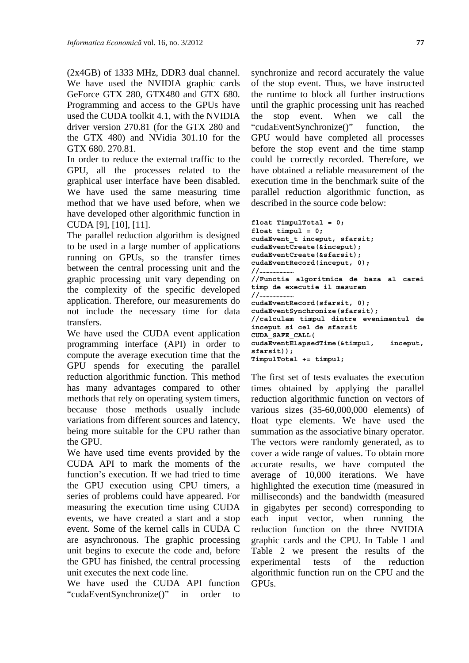(2x4GB) of 1333 MHz, DDR3 dual channel. We have used the NVIDIA graphic cards GeForce GTX 280, GTX480 and GTX 680. Programming and access to the GPUs have used the CUDA toolkit 4.1, with the NVIDIA driver version 270.81 (for the GTX 280 and the GTX 480) and NVidia 301.10 for the GTX 680. 270.81.

In order to reduce the external traffic to the GPU, all the processes related to the graphical user interface have been disabled. We have used the same measuring time method that we have used before, when we have developed other algorithmic function in CUDA [9], [10], [11].

The parallel reduction algorithm is designed to be used in a large number of applications running on GPUs, so the transfer times between the central processing unit and the graphic processing unit vary depending on the complexity of the specific developed application. Therefore, our measurements do not include the necessary time for data transfers.

We have used the CUDA event application programming interface (API) in order to compute the average execution time that the GPU spends for executing the parallel reduction algorithmic function. This method has many advantages compared to other methods that rely on operating system timers, because those methods usually include variations from different sources and latency, being more suitable for the CPU rather than the GPU.

We have used time events provided by the CUDA API to mark the moments of the function's execution. If we had tried to time the GPU execution using CPU timers, a series of problems could have appeared. For measuring the execution time using CUDA events, we have created a start and a stop event. Some of the kernel calls in CUDA C are asynchronous. The graphic processing unit begins to execute the code and, before the GPU has finished, the central processing unit executes the next code line.

We have used the CUDA API function "cudaEventSynchronize()" in order to

synchronize and record accurately the value of the stop event. Thus, we have instructed the runtime to block all further instructions until the graphic processing unit has reached the stop event. When we call the "cudaEventSynchronize()" function, the GPU would have completed all processes before the stop event and the time stamp could be correctly recorded. Therefore, we have obtained a reliable measurement of the execution time in the benchmark suite of the parallel reduction algorithmic function, as described in the source code below:

```
float TimpulTotal = 0; 
float timpul = 0; 
cudaEvent_t inceput, sfarsit; 
cudaEventCreate(&inceput); 
cudaEventCreate(&sfarsit); 
cudaEventRecord(inceput, 0); 
//…………………… 
//Functia algoritmica de baza al carei 
timp de executie il masuram 
//…………………… 
cudaEventRecord(sfarsit, 0); 
cudaEventSynchronize(sfarsit); 
//calculam timpul dintre evenimentul de 
inceput si cel de sfarsit 
CUDA_SAFE_CALL( 
cudaEventElapsedTime(&timpul, inceput, 
sfarsit)); 
TimpulTotal += timpul;
```
The first set of tests evaluates the execution times obtained by applying the parallel reduction algorithmic function on vectors of various sizes (35-60,000,000 elements) of float type elements. We have used the summation as the associative binary operator. The vectors were randomly generated, as to cover a wide range of values. To obtain more accurate results, we have computed the average of 10,000 iterations. We have highlighted the execution time (measured in milliseconds) and the bandwidth (measured in gigabytes per second) corresponding to each input vector, when running the reduction function on the three NVIDIA graphic cards and the CPU. In Table 1 and Table 2 we present the results of the experimental tests of the reduction algorithmic function run on the CPU and the GPUs.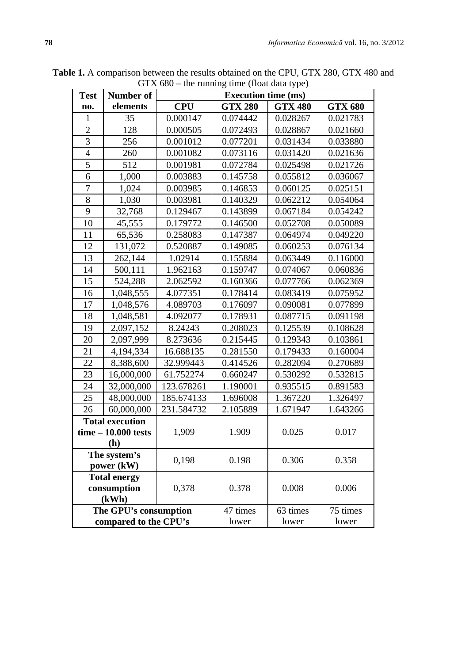| <b>Test</b>                                    | Number of             | <b>Execution time (ms)</b> |                   |                   |                   |  |
|------------------------------------------------|-----------------------|----------------------------|-------------------|-------------------|-------------------|--|
| no.                                            | elements              | <b>CPU</b>                 | <b>GTX 280</b>    | <b>GTX 480</b>    | <b>GTX 680</b>    |  |
| $\mathbf{1}$                                   | 35                    | 0.000147                   | 0.074442          | 0.028267          | 0.021783          |  |
| $\overline{2}$                                 | 128                   | 0.000505                   | 0.072493          | 0.028867          | 0.021660          |  |
| 3                                              | 256                   | 0.001012                   | 0.077201          | 0.031434          | 0.033880          |  |
| $\overline{4}$                                 | 260                   | 0.001082                   | 0.073116          | 0.031420          | 0.021636          |  |
| $\overline{5}$                                 | 512                   | 0.001981                   | 0.072784          | 0.025498          | 0.021726          |  |
| 6                                              | 1,000                 | 0.003883                   | 0.145758          | 0.055812          | 0.036067          |  |
| $\overline{7}$                                 | 1,024                 | 0.003985                   | 0.146853          | 0.060125          | 0.025151          |  |
| 8                                              | 1,030                 | 0.003981                   | 0.140329          | 0.062212          | 0.054064          |  |
| 9                                              | 32,768                | 0.129467                   | 0.143899          | 0.067184          | 0.054242          |  |
| 10                                             | 45,555                | 0.179772                   | 0.146500          | 0.052708          | 0.050089          |  |
| 11                                             | 65,536                | 0.258083                   | 0.147387          | 0.064974          | 0.049220          |  |
| 12                                             | 131,072               | 0.520887                   | 0.149085          | 0.060253          | 0.076134          |  |
| 13                                             | 262,144               | 1.02914                    | 0.155884          | 0.063449          | 0.116000          |  |
| 14                                             | 500,111               | 1.962163                   | 0.159747          | 0.074067          | 0.060836          |  |
| 15                                             | 524,288               | 2.062592                   | 0.160366          | 0.077766          | 0.062369          |  |
| 16                                             | 1,048,555             | 4.077351                   | 0.178414          | 0.083419          | 0.075952          |  |
| 17                                             | 1,048,576             | 4.089703                   | 0.176097          | 0.090081          | 0.077899          |  |
| 18                                             | 1,048,581             | 4.092077                   | 0.178931          | 0.087715          | 0.091198          |  |
| 19                                             | 2,097,152             | 8.24243                    | 0.208023          | 0.125539          | 0.108628          |  |
| 20                                             | 2,097,999             | 8.273636                   | 0.215445          | 0.129343          | 0.103861          |  |
| 21                                             | 4,194,334             | 16.688135                  | 0.281550          | 0.179433          | 0.160004          |  |
| 22                                             | 8,388,600             | 32.999443                  | 0.414526          | 0.282094          | 0.270689          |  |
| 23                                             | 16,000,000            | 61.752274                  | 0.660247          | 0.530292          | 0.532815          |  |
| 24                                             | 32,000,000            | 123.678261                 | 1.190001          | 0.935515          | 0.891583          |  |
| 25                                             | 48,000,000            | 185.674133                 | 1.696008          | 1.367220          | 1.326497          |  |
| 26                                             | 60,000,000            | 231.584732                 | 2.105889          | 1.671947          | 1.643266          |  |
| <b>Total execution</b>                         |                       |                            |                   |                   |                   |  |
|                                                | $time - 10.000 tests$ | 1,909                      | 1.909             | 0.025             | 0.017             |  |
| (h)                                            |                       |                            |                   |                   |                   |  |
| The system's<br>power (kW)                     |                       | 0,198                      | 0.198             | 0.306             | 0.358             |  |
| <b>Total energy</b><br>consumption<br>(kWh)    |                       | 0,378                      | 0.378             | 0.008             | 0.006             |  |
| The GPU's consumption<br>compared to the CPU's |                       |                            | 47 times<br>lower | 63 times<br>lower | 75 times<br>lower |  |

**Table 1.** A comparison between the results obtained on the CPU, GTX 280, GTX 480 and GTX 680 – the running time (float data type)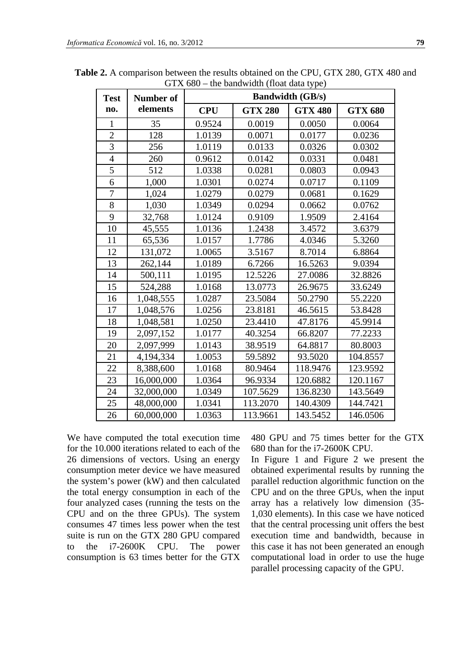| <b>Test</b>    | Number of<br>elements | $\sigma$ (17x 000 $-$ the bandwidth (110at data type)<br><b>Bandwidth (GB/s)</b> |                |                |                |  |
|----------------|-----------------------|----------------------------------------------------------------------------------|----------------|----------------|----------------|--|
| no.            |                       | <b>CPU</b>                                                                       | <b>GTX 280</b> | <b>GTX 480</b> | <b>GTX 680</b> |  |
| $\mathbf{1}$   | 35                    | 0.9524                                                                           | 0.0019         | 0.0050         | 0.0064         |  |
| $\overline{2}$ | 128                   | 1.0139                                                                           | 0.0071         | 0.0177         | 0.0236         |  |
| $\overline{3}$ | 256                   | 1.0119                                                                           | 0.0133         | 0.0326         | 0.0302         |  |
| $\overline{4}$ | 260                   | 0.9612                                                                           | 0.0142         | 0.0331         | 0.0481         |  |
| 5              | 512                   | 1.0338                                                                           | 0.0281         | 0.0803         | 0.0943         |  |
| 6              | 1,000                 | 1.0301                                                                           | 0.0274         | 0.0717         | 0.1109         |  |
| $\overline{7}$ | 1,024                 | 1.0279                                                                           | 0.0279         | 0.0681         | 0.1629         |  |
| $\overline{8}$ | 1,030                 | 1.0349                                                                           | 0.0294         | 0.0662         | 0.0762         |  |
| 9              | 32,768                | 1.0124                                                                           | 0.9109         | 1.9509         | 2.4164         |  |
| 10             | 45,555                | 1.0136                                                                           | 1.2438         | 3.4572         | 3.6379         |  |
| 11             | 65,536                | 1.0157                                                                           | 1.7786         | 4.0346         | 5.3260         |  |
| 12             | 131,072               | 1.0065                                                                           | 3.5167         | 8.7014         | 6.8864         |  |
| 13             | 262,144               | 1.0189                                                                           | 6.7266         | 16.5263        | 9.0394         |  |
| 14             | 500,111               | 1.0195                                                                           | 12.5226        | 27.0086        | 32.8826        |  |
| 15             | 524,288               | 1.0168                                                                           | 13.0773        | 26.9675        | 33.6249        |  |
| 16             | 1,048,555             | 1.0287                                                                           | 23.5084        | 50.2790        | 55.2220        |  |
| 17             | 1,048,576             | 1.0256                                                                           | 23.8181        | 46.5615        | 53.8428        |  |
| 18             | 1,048,581             | 1.0250                                                                           | 23.4410        | 47.8176        | 45.9914        |  |
| 19             | 2,097,152             | 1.0177                                                                           | 40.3254        | 66.8207        | 77.2233        |  |
| 20             | 2,097,999             | 1.0143                                                                           | 38.9519        | 64.8817        | 80.8003        |  |
| 21             | 4,194,334             | 1.0053                                                                           | 59.5892        | 93.5020        | 104.8557       |  |
| 22             | 8,388,600             | 1.0168                                                                           | 80.9464        | 118.9476       | 123.9592       |  |
| 23             | 16,000,000            | 1.0364                                                                           | 96.9334        | 120.6882       | 120.1167       |  |
| 24             | 32,000,000            | 1.0349                                                                           | 107.5629       | 136.8230       | 143.5649       |  |
| 25             | 48,000,000            | 1.0341                                                                           | 113.2070       | 140.4309       | 144.7421       |  |
| 26             | 60,000,000            | 1.0363                                                                           | 113.9661       | 143.5452       | 146.0506       |  |

**Table 2.** A comparison between the results obtained on the CPU, GTX 280, GTX 480 and GTX 680 – the bandwidth (float data type)

We have computed the total execution time for the 10.000 iterations related to each of the 26 dimensions of vectors. Using an energy consumption meter device we have measured the system's power (kW) and then calculated the total energy consumption in each of the four analyzed cases (running the tests on the CPU and on the three GPUs). The system consumes 47 times less power when the test suite is run on the GTX 280 GPU compared to the i7-2600K CPU. The power consumption is 63 times better for the GTX 480 GPU and 75 times better for the GTX 680 than for the i7-2600K CPU.

In Figure 1 and Figure 2 we present the obtained experimental results by running the parallel reduction algorithmic function on the CPU and on the three GPUs, when the input array has a relatively low dimension (35- 1,030 elements). In this case we have noticed that the central processing unit offers the best execution time and bandwidth, because in this case it has not been generated an enough computational load in order to use the huge parallel processing capacity of the GPU.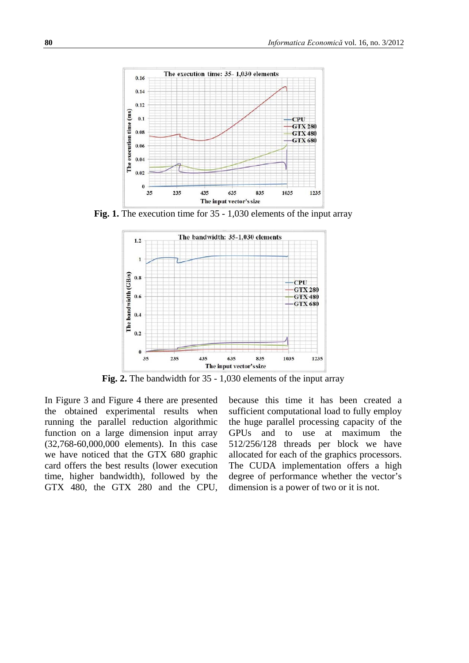

**Fig. 1.** The execution time for 35 - 1,030 elements of the input array



**Fig. 2.** The bandwidth for 35 - 1,030 elements of the input array

In Figure 3 and Figure 4 there are presented the obtained experimental results when running the parallel reduction algorithmic function on a large dimension input array (32,768-60,000,000 elements). In this case we have noticed that the GTX 680 graphic card offers the best results (lower execution time, higher bandwidth), followed by the GTX 480, the GTX 280 and the CPU, because this time it has been created a sufficient computational load to fully employ the huge parallel processing capacity of the GPUs and to use at maximum the 512/256/128 threads per block we have allocated for each of the graphics processors. The CUDA implementation offers a high degree of performance whether the vector's dimension is a power of two or it is not.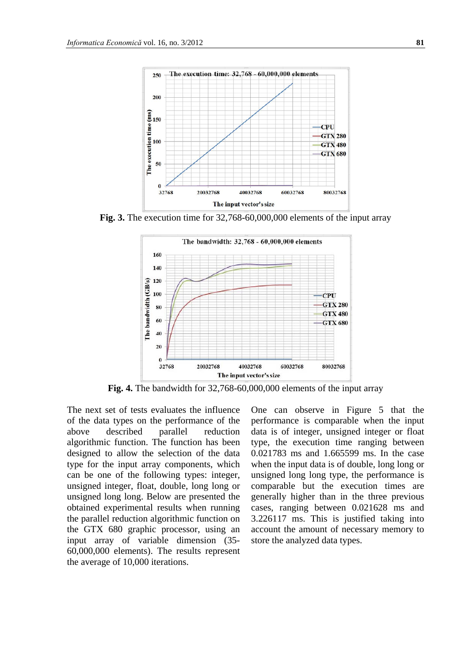

**Fig. 3.** The execution time for 32,768-60,000,000 elements of the input array



**Fig. 4.** The bandwidth for 32,768-60,000,000 elements of the input array

The next set of tests evaluates the influence of the data types on the performance of the above described parallel reduction algorithmic function. The function has been designed to allow the selection of the data type for the input array components, which can be one of the following types: integer, unsigned integer, float, double, long long or unsigned long long. Below are presented the obtained experimental results when running the parallel reduction algorithmic function on the GTX 680 graphic processor, using an input array of variable dimension (35- 60,000,000 elements). The results represent the average of 10,000 iterations.

One can observe in Figure 5 that the performance is comparable when the input data is of integer, unsigned integer or float type, the execution time ranging between 0.021783 ms and 1.665599 ms. In the case when the input data is of double, long long or unsigned long long type, the performance is comparable but the execution times are generally higher than in the three previous cases, ranging between 0.021628 ms and 3.226117 ms. This is justified taking into account the amount of necessary memory to store the analyzed data types.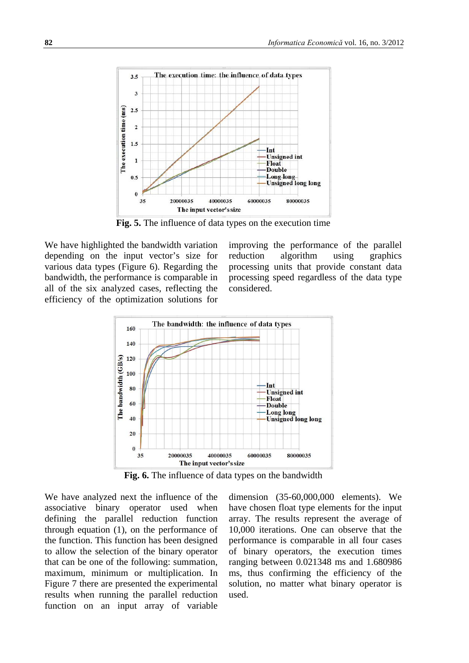

**Fig. 5.** The influence of data types on the execution time

We have highlighted the bandwidth variation depending on the input vector's size for various data types (Figure 6). Regarding the bandwidth, the performance is comparable in all of the six analyzed cases, reflecting the efficiency of the optimization solutions for improving the performance of the parallel reduction algorithm using graphics processing units that provide constant data processing speed regardless of the data type considered.



**Fig. 6.** The influence of data types on the bandwidth

We have analyzed next the influence of the associative binary operator used when defining the parallel reduction function through equation (1), on the performance of the function. This function has been designed to allow the selection of the binary operator that can be one of the following: summation, maximum, minimum or multiplication. In Figure 7 there are presented the experimental results when running the parallel reduction function on an input array of variable

dimension (35-60,000,000 elements). We have chosen float type elements for the input array. The results represent the average of 10,000 iterations. One can observe that the performance is comparable in all four cases of binary operators, the execution times ranging between 0.021348 ms and 1.680986 ms, thus confirming the efficiency of the solution, no matter what binary operator is used.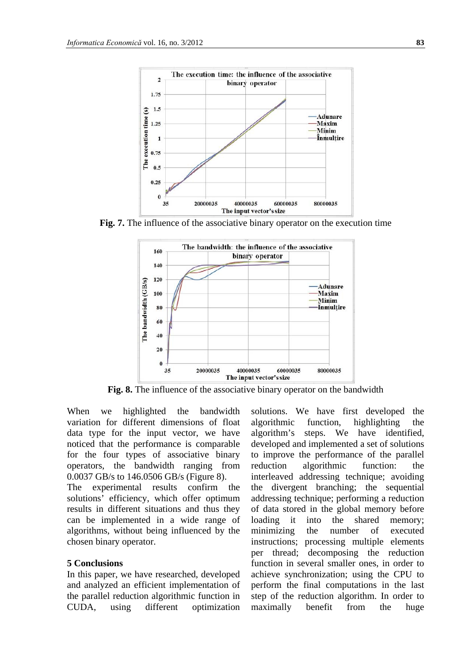

**Fig. 7.** The influence of the associative binary operator on the execution time



**Fig. 8.** The influence of the associative binary operator on the bandwidth

When we highlighted the bandwidth variation for different dimensions of float data type for the input vector, we have noticed that the performance is comparable for the four types of associative binary operators, the bandwidth ranging from 0.0037 GB/s to 146.0506 GB/s (Figure 8). The experimental results confirm the

solutions' efficiency, which offer optimum results in different situations and thus they can be implemented in a wide range of algorithms, without being influenced by the chosen binary operator.

#### **5 Conclusions**

In this paper, we have researched, developed and analyzed an efficient implementation of the parallel reduction algorithmic function in CUDA, using different optimization

solutions. We have first developed the algorithmic function, highlighting the algorithm's steps. We have identified, developed and implemented a set of solutions to improve the performance of the parallel reduction algorithmic function: the interleaved addressing technique; avoiding the divergent branching; the sequential addressing technique; performing a reduction of data stored in the global memory before loading it into the shared memory; minimizing the number of executed instructions; processing multiple elements per thread; decomposing the reduction function in several smaller ones, in order to achieve synchronization; using the CPU to perform the final computations in the last step of the reduction algorithm. In order to maximally benefit from the huge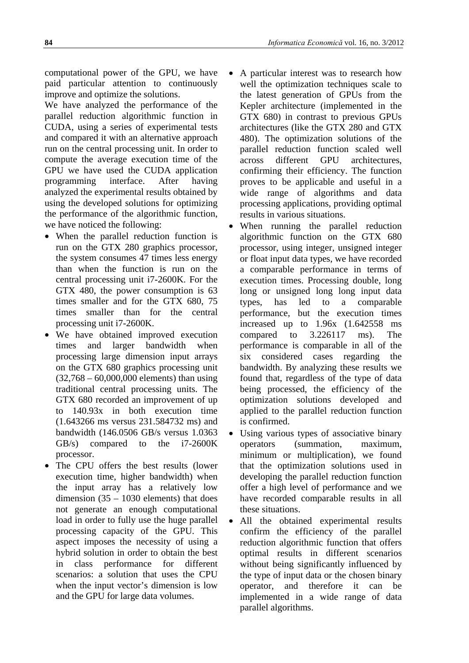computational power of the GPU, we have paid particular attention to continuously improve and optimize the solutions.

We have analyzed the performance of the parallel reduction algorithmic function in CUDA, using a series of experimental tests and compared it with an alternative approach run on the central processing unit. In order to compute the average execution time of the GPU we have used the CUDA application programming interface. After having analyzed the experimental results obtained by using the developed solutions for optimizing the performance of the algorithmic function, we have noticed the following:

- When the parallel reduction function is run on the GTX 280 graphics processor, the system consumes 47 times less energy than when the function is run on the central processing unit i7-2600K. For the GTX 480, the power consumption is 63 times smaller and for the GTX 680, 75 times smaller than for the central processing unit i7-2600K.
- We have obtained improved execution times and larger bandwidth when processing large dimension input arrays on the GTX 680 graphics processing unit  $(32,768 - 60,000,000)$  elements) than using traditional central processing units. The GTX 680 recorded an improvement of up to 140.93x in both execution time (1.643266 ms versus 231.584732 ms) and bandwidth (146.0506 GB/s versus 1.0363 GB/s) compared to the i7-2600K processor.
- The CPU offers the best results (lower execution time, higher bandwidth) when the input array has a relatively low dimension (35 – 1030 elements) that does not generate an enough computational load in order to fully use the huge parallel processing capacity of the GPU. This aspect imposes the necessity of using a hybrid solution in order to obtain the best in class performance for different scenarios: a solution that uses the CPU when the input vector's dimension is low and the GPU for large data volumes.
- A particular interest was to research how well the optimization techniques scale to the latest generation of GPUs from the Kepler architecture (implemented in the GTX 680) in contrast to previous GPUs architectures (like the GTX 280 and GTX 480). The optimization solutions of the parallel reduction function scaled well across different GPU architectures, confirming their efficiency. The function proves to be applicable and useful in a wide range of algorithms and data processing applications, providing optimal results in various situations.
- When running the parallel reduction algorithmic function on the GTX 680 processor, using integer, unsigned integer or float input data types, we have recorded a comparable performance in terms of execution times. Processing double, long long or unsigned long long input data types, has led to a comparable performance, but the execution times increased up to 1.96x (1.642558 ms compared to 3.226117 ms). The performance is comparable in all of the six considered cases regarding the bandwidth. By analyzing these results we found that, regardless of the type of data being processed, the efficiency of the optimization solutions developed and applied to the parallel reduction function is confirmed.
- Using various types of associative binary operators (summation, maximum, minimum or multiplication), we found that the optimization solutions used in developing the parallel reduction function offer a high level of performance and we have recorded comparable results in all these situations.
- All the obtained experimental results confirm the efficiency of the parallel reduction algorithmic function that offers optimal results in different scenarios without being significantly influenced by the type of input data or the chosen binary operator, and therefore it can be implemented in a wide range of data parallel algorithms.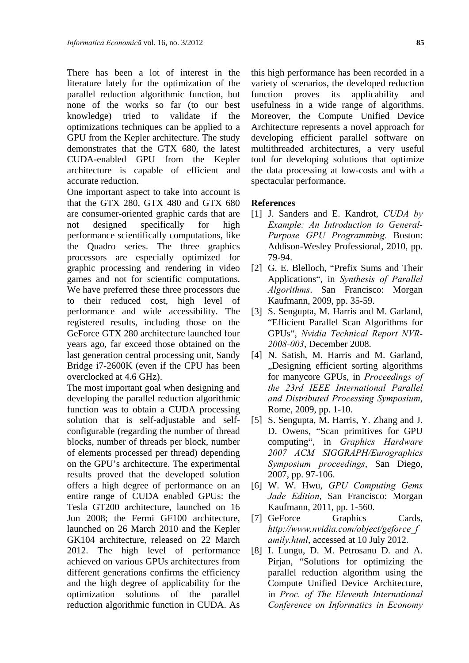There has been a lot of interest in the literature lately for the optimization of the parallel reduction algorithmic function, but none of the works so far (to our best knowledge) tried to validate if the optimizations techniques can be applied to a GPU from the Kepler architecture. The study demonstrates that the GTX 680, the latest CUDA-enabled GPU from the Kepler architecture is capable of efficient and accurate reduction.

One important aspect to take into account is that the GTX 280, GTX 480 and GTX 680 are consumer-oriented graphic cards that are not designed specifically for high performance scientifically computations, like the Quadro series. The three graphics processors are especially optimized for graphic processing and rendering in video games and not for scientific computations. We have preferred these three processors due to their reduced cost, high level of performance and wide accessibility. The registered results, including those on the GeForce GTX 280 architecture launched four years ago, far exceed those obtained on the last generation central processing unit, Sandy Bridge i7-2600K (even if the CPU has been overclocked at 4.6 GHz).

The most important goal when designing and developing the parallel reduction algorithmic function was to obtain a CUDA processing solution that is self-adjustable and selfconfigurable (regarding the number of thread blocks, number of threads per block, number of elements processed per thread) depending on the GPU's architecture. The experimental results proved that the developed solution offers a high degree of performance on an entire range of CUDA enabled GPUs: the Tesla GT200 architecture, launched on 16 Jun 2008; the Fermi GF100 architecture, launched on 26 March 2010 and the Kepler GK104 architecture, released on 22 March 2012. The high level of performance achieved on various GPUs architectures from different generations confirms the efficiency and the high degree of applicability for the optimization solutions of the parallel reduction algorithmic function in CUDA. As

this high performance has been recorded in a variety of scenarios, the developed reduction function proves its applicability and usefulness in a wide range of algorithms. Moreover, the Compute Unified Device Architecture represents a novel approach for developing efficient parallel software on multithreaded architectures, a very useful tool for developing solutions that optimize the data processing at low-costs and with a spectacular performance.

#### **References**

- [1] J. Sanders and E. Kandrot, *CUDA by Example: An Introduction to General-Purpose GPU Programming.* Boston: Addison-Wesley Professional, 2010, pp. 79-94.
- [2] G. E. Blelloch, "Prefix Sums and Their Applications", in *Synthesis of Parallel Algorithms*. San Francisco: Morgan Kaufmann, 2009, pp. 35-59.
- [3] S. Sengupta, M. Harris and M. Garland, "Efficient Parallel Scan Algorithms for GPUs", *Nvidia Technical Report NVR-2008-003*, December 2008.
- [4] N. Satish, M. Harris and M. Garland, "Designing efficient sorting algorithms for manycore GPUs, in *Proceedings of the 23rd IEEE International Parallel and Distributed Processing Symposium*, Rome, 2009, pp. 1-10.
- [5] S. Sengupta, M. Harris, Y. Zhang and J. D. Owens, "Scan primitives for GPU computing", in *Graphics Hardware 2007 ACM SIGGRAPH/Eurographics Symposium proceedings*, San Diego, 2007, pp. 97-106.
- [6] W. W. Hwu, *GPU Computing Gems Jade Edition*, San Francisco: Morgan Kaufmann, 2011, pp. 1-560.
- [7] GeForce Graphics Cards, *http://www.nvidia.com/object/geforce\_f amily.html*, accessed at 10 July 2012.
- [8] I. Lungu, D. M. Petrosanu D. and A. Pirjan, "Solutions for optimizing the parallel reduction algorithm using the Compute Unified Device Architecture, in *Proc. of The Eleventh International Conference on Informatics in Economy*